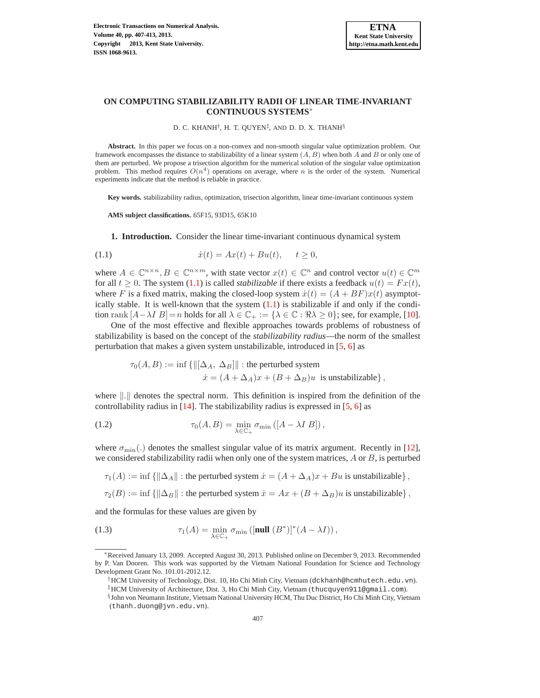# **ON COMPUTING STABILIZABILITY RADII OF LINEAR TIME-INVARIANT CONTINUOUS SYSTEMS**<sup>∗</sup>

<span id="page-0-0"></span>D. C. KHANH<sup>†</sup>, H. T. QUYEN<sup>‡</sup>, AND D. D. X. THANH<sup>§</sup>

**Abstract.** In this paper we focus on a non-convex and non-smooth singular value optimization problem. Our framework encompasses the distance to stabilizability of a linear system  $(A, B)$  when both A and B or only one of them are perturbed. We propose a trisection algorithm for the numerical solution of the singular value optimization problem. This method requires  $O(n^4)$  operations on average, where n is the order of the system. Numerical experiments indicate that the method is reliable in practice.

**Key words.** stabilizability radius, optimization, trisection algorithm, linear time-invariant continuous system

**AMS subject classifications.** 65F15, 93D15, 65K10

**1. Introduction.** Consider the linear time-invariant continuous dynamical system

(1.1) 
$$
\dot{x}(t) = Ax(t) + Bu(t), \quad t \ge 0,
$$

where  $A \in \mathbb{C}^{n \times n}, B \in \mathbb{C}^{n \times m}$ , with state vector  $x(t) \in \mathbb{C}^n$  and control vector  $u(t) \in \mathbb{C}^m$ for all  $t > 0$ . The system [\(1.1\)](#page-0-0) is called *stabilizable* if there exists a feedback  $u(t) = Fx(t)$ , where F is a fixed matrix, making the closed-loop system  $\dot{x}(t) = (A + BF)x(t)$  asymptotically stable. It is well-known that the system  $(1.1)$  is stabilizable if and only if the condition rank  $[A - \lambda I B] = n$  holds for all  $\lambda \in \mathbb{C}_+ := {\lambda \in \mathbb{C} : \Re \lambda \ge 0}$ ; see, for example, [\[10\]](#page-6-0).

One of the most effective and flexible approaches towards problems of robustness of stabilizability is based on the concept of the *stabilizability radius*—the norm of the smallest perturbation that makes a given system unstabilizable, introduced in [\[5,](#page-4-0) [6\]](#page-5-0) as

<span id="page-0-1"></span>
$$
\tau_0(A, B) := \inf \{ ||[\Delta_A, \Delta_B]|| : \text{the perturbed system} \}
$$
  

$$
\dot{x} = (A + \Delta_A)x + (B + \Delta_B)u \text{ is unstable} \},
$$

where  $\Vert . \Vert$  denotes the spectral norm. This definition is inspired from the definition of the controllability radius in [\[14\]](#page-6-1). The stabilizability radius is expressed in [\[5,](#page-4-0) [6\]](#page-5-0) as

(1.2) 
$$
\tau_0(A, B) = \min_{\lambda \in \mathbb{C}_+} \sigma_{\min} ([A - \lambda I B]),
$$

where  $\sigma_{\min}$ .) denotes the smallest singular value of its matrix argument. Recently in [\[12\]](#page-6-2), we considered stabilizability radii when only one of the system matrices,  $A$  or  $B$ , is perturbed

 $\tau_1(A) := \inf \{\|\Delta_A\| : \text{the perturbed system } \dot{x} = (A + \Delta_A)x + Bu \text{ is unstable}\},\$ 

<span id="page-0-2"></span> $\tau_2(B) := \inf \{ \|\Delta_B\| : \text{the perturbed system } \dot{x} = Ax + (B + \Delta_B)u \text{ is unstable} \},$ 

and the formulas for these values are given by

(1.3) 
$$
\tau_1(A) = \min_{\lambda \in \mathbb{C}_+} \sigma_{\min} \left( \left[ \text{null} \left( B^* \right) \right]^* (A - \lambda I) \right),
$$

<sup>∗</sup>Received January 13, 2009. Accepted August 30, 2013. Published online on December 9, 2013. Recommended by P. Van Dooren. This work was supported by the Vietnam National Foundation for Science and Technology Development Grant No. 101.01-2012.12.

<sup>†</sup>HCM University of Technology, Dist. 10, Ho Chi Minh City, Vietnam (dckhanh@hcmhutech.edu.vn). ‡HCM University of Architecture, Dist. 3, Ho Chi Minh City, Vietnam (thucquyen911@gmail.com).

<sup>§</sup> John von Neumann Institute, Vietnam National University HCM, Thu Duc District, Ho Chi Minh City, Vietnam (thanh.duong@jvn.edu.vn).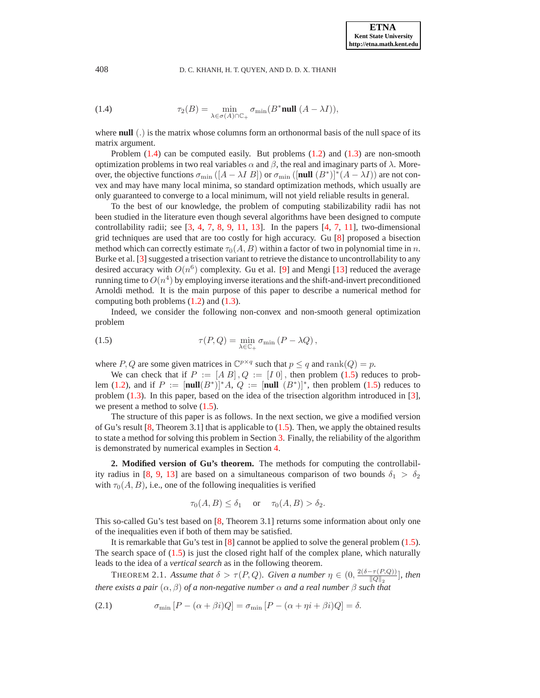### <span id="page-1-0"></span>408 D. C. KHANH, H. T. QUYEN, AND D. D. X. THANH

(1.4) 
$$
\tau_2(B) = \min_{\lambda \in \sigma(A) \cap \mathbb{C}_+} \sigma_{\min}(B^* \text{null } (A - \lambda I)),
$$

where **null** (.) is the matrix whose columns form an orthonormal basis of the null space of its matrix argument.

Problem  $(1.4)$  can be computed easily. But problems  $(1.2)$  and  $(1.3)$  are non-smooth optimization problems in two real variables  $\alpha$  and  $\beta$ , the real and imaginary parts of  $\lambda$ . Moreover, the objective functions  $\sigma_{\min}([A - \lambda I B])$  or  $\sigma_{\min}([\text{null } (B^*)]^*(A - \lambda I))$  are not convex and may have many local minima, so standard optimization methods, which usually are only guaranteed to converge to a local minimum, will not yield reliable results in general.

To the best of our knowledge, the problem of computing stabilizability radii has not been studied in the literature even though several algorithms have been designed to compute controllability radii; see  $\lceil 3, 4, 7, 8, 9, 11, 13 \rceil$  $\lceil 3, 4, 7, 8, 9, 11, 13 \rceil$  $\lceil 3, 4, 7, 8, 9, 11, 13 \rceil$  $\lceil 3, 4, 7, 8, 9, 11, 13 \rceil$  $\lceil 3, 4, 7, 8, 9, 11, 13 \rceil$  $\lceil 3, 4, 7, 8, 9, 11, 13 \rceil$  $\lceil 3, 4, 7, 8, 9, 11, 13 \rceil$  $\lceil 3, 4, 7, 8, 9, 11, 13 \rceil$  $\lceil 3, 4, 7, 8, 9, 11, 13 \rceil$  $\lceil 3, 4, 7, 8, 9, 11, 13 \rceil$  $\lceil 3, 4, 7, 8, 9, 11, 13 \rceil$ . In the papers  $\lceil 4, 7, 11 \rceil$ , two-dimensional grid techniques are used that are too costly for high accuracy. Gu [\[8\]](#page-5-2) proposed a bisection method which can correctly estimate  $\tau_0(A, B)$  within a factor of two in polynomial time in n. Burke et al. [\[3\]](#page-4-1) suggested a trisection variant to retrieve the distance to uncontrollability to any desired accuracy with  $O(n^6)$  complexity. Gu et al. [\[9\]](#page-5-3) and Mengi [\[13\]](#page-6-4) reduced the average running time to  $O(n^4)$  by employing inverse iterations and the shift-and-invert preconditioned Arnoldi method. It is the main purpose of this paper to describe a numerical method for computing both problems  $(1.2)$  and  $(1.3)$ .

<span id="page-1-1"></span>Indeed, we consider the following non-convex and non-smooth general optimization problem

(1.5) 
$$
\tau(P,Q) = \min_{\lambda \in \mathbb{C}_+} \sigma_{\min}(P - \lambda Q),
$$

where P, Q are some given matrices in  $\mathbb{C}^{p \times q}$  such that  $p \leq q$  and rank $(Q) = p$ .

We can check that if  $P := [AB], Q := [I \ 0]$ , then problem [\(1.5\)](#page-1-1) reduces to prob-lem [\(1.2\)](#page-0-1), and if  $P := [\text{null}(B^*)]^* A$ ,  $Q := [\text{null}(B^*)]^*$ , then problem [\(1.5\)](#page-1-1) reduces to problem [\(1.3\)](#page-0-2). In this paper, based on the idea of the trisection algorithm introduced in [\[3\]](#page-4-1), we present a method to solve  $(1.5)$ .

The structure of this paper is as follows. In the next section, we give a modified version of Gu's result  $[8,$  Theorem 3.1] that is applicable to  $(1.5)$ . Then, we apply the obtained results to state a method for solving this problem in Section [3.](#page-2-0) Finally, the reliability of the algorithm is demonstrated by numerical examples in Section [4.](#page-4-3)

**2. Modified version of Gu's theorem.** The methods for computing the controllabil-ity radius in [\[8,](#page-5-2) [9,](#page-5-3) [13\]](#page-6-4) are based on a simultaneous comparison of two bounds  $\delta_1 > \delta_2$ with  $\tau_0(A, B)$ , i.e., one of the following inequalities is verified

<span id="page-1-2"></span>
$$
\tau_0(A, B) \le \delta_1 \quad \text{or} \quad \tau_0(A, B) > \delta_2.
$$

This so-called Gu's test based on [\[8,](#page-5-2) Theorem 3.1] returns some information about only one of the inequalities even if both of them may be satisfied.

It is remarkable that Gu's test in [\[8\]](#page-5-2) cannot be applied to solve the general problem [\(1.5\)](#page-1-1). The search space of  $(1.5)$  is just the closed right half of the complex plane, which naturally leads to the idea of a *vertical search* as in the following theorem.

THEOREM 2.1. *Assume that*  $\delta > \tau(P,Q)$ . *Given a number*  $\eta \in (0, \frac{2(\delta - \tau(P,Q))}{\|\Omega\|})$  $\frac{-\tau(P,Q))}{\|Q\|_2}$ , then *there exists a pair*  $(\alpha, \beta)$  *of a non-negative number*  $\alpha$  *and a real number*  $\beta$  *such that* 

(2.1) 
$$
\sigma_{\min}[P - (\alpha + \beta i)Q] = \sigma_{\min}[P - (\alpha + \eta i + \beta i)Q] = \delta.
$$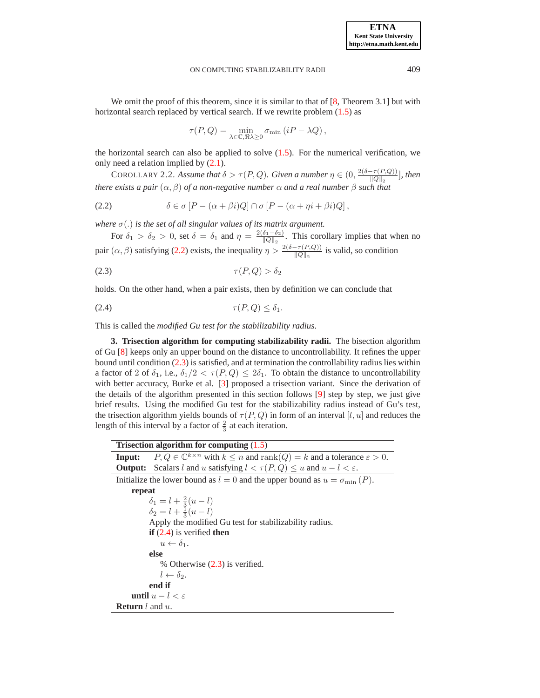<span id="page-2-3"></span><span id="page-2-2"></span><span id="page-2-1"></span>

**ETNA Kent State University http://etna.math.kent.edu**

We omit the proof of this theorem, since it is similar to that of  $[8,$  Theorem 3.1] but with horizontal search replaced by vertical search. If we rewrite problem  $(1.5)$  as

$$
\tau(P,Q) = \min_{\lambda \in \mathbb{C}, \Re \lambda \ge 0} \sigma_{\min} (iP - \lambda Q),
$$

the horizontal search can also be applied to solve  $(1.5)$ . For the numerical verification, we only need a relation implied by [\(2.1\)](#page-1-2).

COROLLARY 2.2. *Assume that*  $\delta > \tau(P,Q)$ . *Given a number*  $\eta \in (0, \frac{2(\delta - \tau(P,Q))}{\|\Omega\|})$  $\frac{-\tau(P,Q))}{\|Q\|_2}$ , then *there exists a pair*  $(\alpha, \beta)$  *of a non-negative number*  $\alpha$  *and a real number*  $\beta$  *such that* 

(2.2) 
$$
\delta \in \sigma [P - (\alpha + \beta i)Q] \cap \sigma [P - (\alpha + \eta i + \beta i)Q],
$$

*where*  $\sigma(.)$  *is the set of all singular values of its matrix argument.* 

For  $\delta_1 > \delta_2 > 0$ , set  $\delta = \delta_1$  and  $\eta = \frac{2(\delta_1 - \delta_2)}{\|\mathcal{O}\|_{\infty}}$  $\frac{\delta_1 - \delta_2}{\|Q\|_2}$ . This corollary implies that when no pair  $(\alpha, \beta)$  satisfying [\(2.2\)](#page-2-1) exists, the inequality  $\eta > \frac{2(\delta - \tau(P,Q))}{\|Q\|_2}$  is valid, so condition

$$
\tau(P,Q) > \delta_2
$$

holds. On the other hand, when a pair exists, then by definition we can conclude that

$$
\tau(P,Q) \leq \delta_1.
$$

<span id="page-2-0"></span>This is called the *modified Gu test for the stabilizability radius*.

**3. Trisection algorithm for computing stabilizability radii.** The bisection algorithm of Gu [\[8\]](#page-5-2) keeps only an upper bound on the distance to uncontrollability. It refines the upper bound until condition [\(2.3\)](#page-2-2) is satisfied, and at termination the controllability radius lies within a factor of 2 of  $\delta_1$ , i.e.,  $\delta_1/2 < \tau(P,Q) \leq 2\delta_1$ . To obtain the distance to uncontrollability with better accuracy, Burke et al. [\[3\]](#page-4-1) proposed a trisection variant. Since the derivation of the details of the algorithm presented in this section follows [\[9\]](#page-5-3) step by step, we just give brief results. Using the modified Gu test for the stabilizability radius instead of Gu's test, the trisection algorithm yields bounds of  $\tau(P,Q)$  in form of an interval  $[l, u]$  and reduces the length of this interval by a factor of  $\frac{2}{3}$  at each iteration.

| Trisection algorithm for computing $(1.5)$                                                                          |  |  |  |
|---------------------------------------------------------------------------------------------------------------------|--|--|--|
| $P, Q \in \mathbb{C}^{k \times n}$ with $k \leq n$ and rank $(Q) = k$ and a tolerance $\varepsilon > 0$ .<br>Input: |  |  |  |
| <b>Output:</b> Scalars l and u satisfying $l < \tau(P,Q) \leq u$ and $u - l < \varepsilon$ .                        |  |  |  |
| Initialize the lower bound as $l = 0$ and the upper bound as $u = \sigma_{\min}(P)$ .                               |  |  |  |
| repeat                                                                                                              |  |  |  |
|                                                                                                                     |  |  |  |
| $\begin{array}{l} \delta_1 = l + \frac{2}{3}(u - l) \\ \delta_2 = l + \frac{1}{3}(u - l) \end{array}$               |  |  |  |
| Apply the modified Gu test for stabilizability radius.                                                              |  |  |  |
| if $(2.4)$ is verified then                                                                                         |  |  |  |
| $u \leftarrow \delta_1$ .                                                                                           |  |  |  |
| else                                                                                                                |  |  |  |
| % Otherwise $(2.3)$ is verified.                                                                                    |  |  |  |
| $l \leftarrow \delta_2$ .                                                                                           |  |  |  |
| end if                                                                                                              |  |  |  |
| until $u-l < \varepsilon$                                                                                           |  |  |  |
| <b>Return</b> $l$ and $u$ .                                                                                         |  |  |  |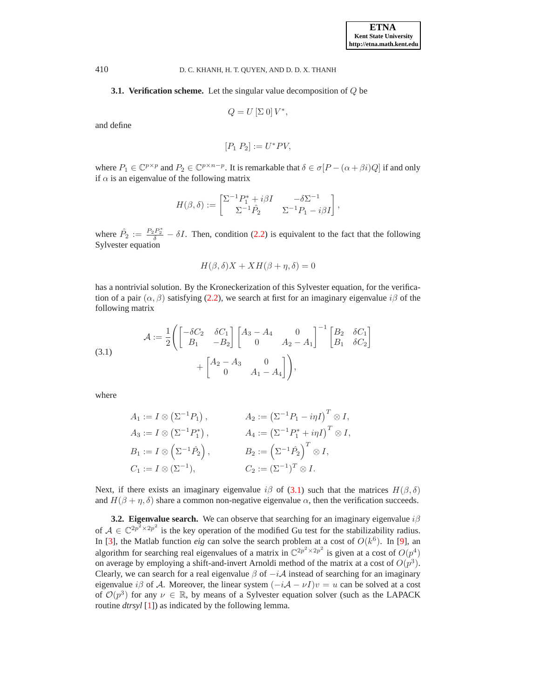410 D. C. KHANH, H. T. QUYEN, AND D. D. X. THANH

**3.1. Verification scheme.** Let the singular value decomposition of Q be

$$
Q = U \left[\Sigma \, 0\right] V^*,
$$

and define

$$
[P_1\ P_2]:=U^*PV,
$$

where  $P_1 \in \mathbb{C}^{p \times p}$  and  $P_2 \in \mathbb{C}^{p \times n-p}$ . It is remarkable that  $\delta \in \sigma[P - (\alpha + \beta i)Q]$  if and only if  $\alpha$  is an eigenvalue of the following matrix

$$
H(\beta,\delta) := \begin{bmatrix} \Sigma^{-1} P_1^* + i\beta I & -\delta \Sigma^{-1} \\ \Sigma^{-1} \hat{P}_2 & \Sigma^{-1} P_1 - i\beta I \end{bmatrix},
$$

where  $\hat{P}_2 := \frac{P_2 P_2^*}{\delta} - \delta I$ . Then, condition [\(2.2\)](#page-2-1) is equivalent to the fact that the following Sylvester equation

<span id="page-3-0"></span>
$$
H(\beta, \delta)X + XH(\beta + \eta, \delta) = 0
$$

has a nontrivial solution. By the Kroneckerization of this Sylvester equation, for the verification of a pair  $(\alpha, \beta)$  satisfying [\(2.2\)](#page-2-1), we search at first for an imaginary eigenvalue i $\beta$  of the following matrix

(3.1) 
$$
\mathcal{A} := \frac{1}{2} \left( \begin{bmatrix} -\delta C_2 & \delta C_1 \\ B_1 & -B_2 \end{bmatrix} \begin{bmatrix} A_3 - A_4 & 0 \\ 0 & A_2 - A_1 \end{bmatrix}^{-1} \begin{bmatrix} B_2 & \delta C_1 \\ B_1 & \delta C_2 \end{bmatrix} + \begin{bmatrix} A_2 - A_3 & 0 \\ 0 & A_1 - A_4 \end{bmatrix} \right),
$$

where

$$
A_1 := I \otimes (\Sigma^{-1} P_1),
$$
  
\n
$$
A_2 := (\Sigma^{-1} P_1 - i\eta I)^T \otimes I,
$$
  
\n
$$
A_3 := I \otimes (\Sigma^{-1} P_1^*),
$$
  
\n
$$
A_4 := (\Sigma^{-1} P_1^* + i\eta I)^T \otimes I,
$$
  
\n
$$
B_1 := I \otimes (\Sigma^{-1} \hat{P}_2),
$$
  
\n
$$
B_2 := (\Sigma^{-1} \hat{P}_2)^T \otimes I,
$$
  
\n
$$
C_2 := (\Sigma^{-1})^T \otimes I.
$$

Next, if there exists an imaginary eigenvalue  $i\beta$  of [\(3.1\)](#page-3-0) such that the matrices  $H(\beta, \delta)$ and  $H(\beta + \eta, \delta)$  share a common non-negative eigenvalue  $\alpha$ , then the verification succeeds.

**3.2. Eigenvalue search.** We can observe that searching for an imaginary eigenvalue  $i\beta$ of  $A \in \mathbb{C}^{2p^2 \times 2p^2}$  is the key operation of the modified Gu test for the stabilizability radius. In [\[3\]](#page-4-1), the Matlab function *eig* can solve the search problem at a cost of  $O(k^6)$ . In [\[9\]](#page-5-3), an algorithm for searching real eigenvalues of a matrix in  $\mathbb{C}^{2p^2 \times 2p^2}$  is given at a cost of  $O(p^4)$ on average by employing a shift-and-invert Arnoldi method of the matrix at a cost of  $O(p^3)$ . Clearly, we can search for a real eigenvalue  $\beta$  of  $-i\mathcal{A}$  instead of searching for an imaginary eigenvalue i $\beta$  of A. Moreover, the linear system  $(-iA - \nu I)v = u$  can be solved at a cost of  $\mathcal{O}(p^3)$  for any  $\nu \in \mathbb{R}$ , by means of a Sylvester equation solver (such as the LAPACK routine *dtrsyl* [\[1\]](#page-4-4)) as indicated by the following lemma.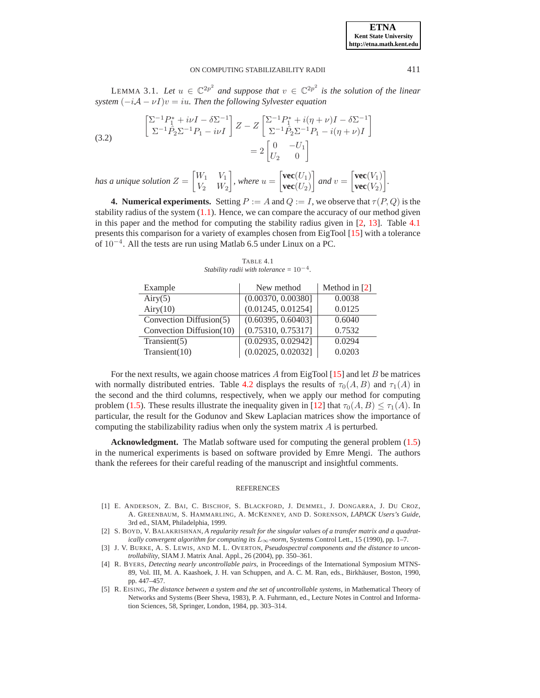### ON COMPUTING STABILIZABILITY RADII 411

LEMMA 3.1. Let  $u \in \mathbb{C}^{2p^2}$  and suppose that  $v \in \mathbb{C}^{2p^2}$  is the solution of the linear *system*  $(-iA - \nu I)v = iu$ *. Then the following Sylvester equation* 

(3.2) 
$$
\begin{bmatrix} \Sigma^{-1} P_1^* + i\nu I - \delta \Sigma^{-1} \\ \Sigma^{-1} \hat{P}_2 \Sigma^{-1} P_1 - i\nu I \end{bmatrix} Z - Z \begin{bmatrix} \Sigma^{-1} P_1^* + i(\eta + \nu)I - \delta \Sigma^{-1} \\ \Sigma^{-1} \hat{P}_2 \Sigma^{-1} P_1 - i(\eta + \nu)I \end{bmatrix} = 2 \begin{bmatrix} 0 & -U_1 \\ U_2 & 0 \end{bmatrix}
$$

*has a unique solution*  $Z = \begin{bmatrix} W_1 & V_1 \ V & W_1 \end{bmatrix}$  $V_2$   $W_2$ *where*  $u = \begin{bmatrix} \text{vec}(U_1) \\ \text{vec}(U_2) \end{bmatrix}$  $\textbf{vec}(U_2)$  $\int$  and  $v = \begin{bmatrix} \text{vec}(V_1) \\ \text{vec}(V_2) \end{bmatrix}$  ${\bf vec}(V_2)$ *.*

<span id="page-4-3"></span>**4. Numerical experiments.** Setting  $P := A$  and  $Q := I$ , we observe that  $\tau(P, Q)$  is the stability radius of the system  $(1.1)$ . Hence, we can compare the accuracy of our method given in this paper and the method for computing the stability radius given in [\[2,](#page-4-5) [13\]](#page-6-4). Table [4.1](#page-4-6) presents this comparison for a variety of examples chosen from EigTool [\[15\]](#page-6-5) with a tolerance of 10<sup>−</sup><sup>4</sup> . All the tests are run using Matlab 6.5 under Linux on a PC.

| Example                  | New method         | Method in $[2]$ |
|--------------------------|--------------------|-----------------|
| Airy(5)                  | (0.00370, 0.00380] | 0.0038          |
| Airy(10)                 | (0.01245, 0.01254] | 0.0125          |
| Convection Diffusion(5)  | (0.60395, 0.60403] | 0.6040          |
| Convection Diffusion(10) | (0.75310, 0.75317] | 0.7532          |
| Transient $(5)$          | (0.02935, 0.02942] | 0.0294          |
| Transient $(10)$         | (0.02025, 0.02032] | 0.0203          |

<span id="page-4-6"></span>TABLE 4.1 *Stability radii with tolerance* =  $10^{-4}$ .

For the next results, we again choose matrices A from EigTool  $[15]$  and let B be matrices with normally distributed entries. Table [4.2](#page-5-4) displays the results of  $\tau_0(A, B)$  and  $\tau_1(A)$  in the second and the third columns, respectively, when we apply our method for computing problem [\(1.5\)](#page-1-1). These results illustrate the inequality given in [\[12\]](#page-6-2) that  $\tau_0(A, B) \leq \tau_1(A)$ . In particular, the result for the Godunov and Skew Laplacian matrices show the importance of computing the stabilizability radius when only the system matrix A is perturbed.

**Acknowledgment.** The Matlab software used for computing the general problem [\(1.5\)](#page-1-1) in the numerical experiments is based on software provided by Emre Mengi. The authors thank the referees for their careful reading of the manuscript and insightful comments.

#### **REFERENCES**

- <span id="page-4-4"></span>[1] E. ANDERSON, Z. BAI, C. BISCHOF, S. BLACKFORD, J. DEMMEL, J. DONGARRA, J. DU CROZ, A. GREENBAUM, S. HAMMARLING, A. MCKENNEY, AND D. SORENSON, *LAPACK Users's Guide*, 3rd ed., SIAM, Philadelphia, 1999.
- <span id="page-4-5"></span>[2] S. BOYD, V. BALAKRISHNAN, *A regularity result for the singular values of a transfer matrix and a quadratically convergent algorithm for computing its*  $L_{\infty}$ *-norm*, Systems Control Lett., 15 (1990), pp. 1–7.
- <span id="page-4-1"></span>[3] J. V. BURKE, A. S. LEWIS, AND M. L. OVERTON, *Pseudospectral components and the distance to uncontrollability*, SIAM J. Matrix Anal. Appl., 26 (2004), pp. 350–361.
- <span id="page-4-2"></span>[4] R. BYERS, *Detecting nearly uncontrollable pairs*, in Proceedings of the International Symposium MTNS-89, Vol. III, M. A. Kaashoek, J. H. van Schuppen, and A. C. M. Ran, eds., Birkhäuser, Boston, 1990, pp. 447–457.
- <span id="page-4-0"></span>[5] R. EISING, *The distance between a system and the set of uncontrollable systems*, in Mathematical Theory of Networks and Systems (Beer Sheva, 1983), P. A. Fuhrmann, ed., Lecture Notes in Control and Information Sciences, 58, Springer, London, 1984, pp. 303–314.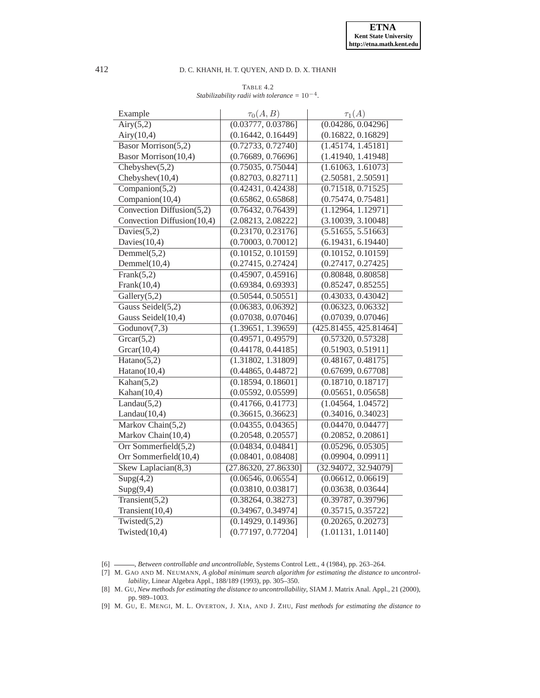# 412 D. C. KHANH, H. T. QUYEN, AND D. D. X. THANH

<span id="page-5-4"></span>TABLE 4.2 *Stabilizability radii with tolerance =* 10−<sup>4</sup> *.*

| Example                    | $\tau_0(A,B)$                   | $\tau_1(A)$            |
|----------------------------|---------------------------------|------------------------|
| Airy(5,2)                  | (0.03777, 0.03786]              | (0.04286, 0.04296]     |
| Airy(10,4)                 | (0.16442, 0.16449]              | (0.16822, 0.16829]     |
| Basor Morrison(5,2)        | (0.72733, 0.72740]              | (1.45174, 1.45181)     |
| Basor Morrison(10,4)       | (0.76689, 0.76696]              | (1.41940, 1.41948]     |
| Chebyshev $(5,2)$          | (0.75035, 0.75044]              | (1.61063, 1.61073)     |
| Chebyshev(10,4)            | (0.82703, 0.82711]              | (2.50581, 2.50591]     |
| Comparison(5,2)            | (0.42431, 0.42438)              | (0.71518, 0.71525)     |
| Companion(10,4)            | (0.65862, 0.65868]              | (0.75474, 0.75481]     |
| Convection Diffusion(5,2)  | (0.76432, 0.76439)              | (1.12964, 1.12971]     |
| Convection Diffusion(10,4) | (2.08213, 2.08222]              | (3.10039, 3.10048]     |
| Davies $(5,2)$             | (0.23170, 0.23176]              | (5.51655, 5.51663)     |
| Davies $(10,4)$            | (0.70003, 0.70012]              | (6.19431, 6.19440]     |
| Demmel(5,2)                | (0.10152, 0.10159)              | (0.10152, 0.10159)     |
| Demmel(10,4)               | (0.27415, 0.27424]              | (0.27417, 0.27425)     |
| Frank(5,2)                 | $\overline{(0.45907, 0.45916]}$ | (0.80848, 0.80858]     |
| Frank(10,4)                | (0.69384, 0.69393]              | (0.85247, 0.85255]     |
| $\overline{Gallery(5,2)}$  | (0.50544, 0.50551]              | (0.43033, 0.43042]     |
| Gauss Seidel $(5,2)$       | (0.06383, 0.06392]              | (0.06323, 0.06332]     |
| Gauss Seidel(10,4)         | (0.07038, 0.07046]              | (0.07039, 0.07046]     |
| Godunov(7,3)               | (1.39651, 1.39659)              | (425.81455, 425.81464) |
| Grcar(5,2)                 | (0.49571, 0.49579)              | (0.57320, 0.57328)     |
| Grcar(10,4)                | (0.44178, 0.44185]              | (0.51903, 0.51911]     |
| Hatano $(5,2)$             | (1.31802, 1.31809)              | (0.48167, 0.48175)     |
| Hatano $(10,4)$            | (0.44865, 0.44872]              | (0.67699, 0.67708]     |
| Kahan $(5,2)$              | (0.18594, 0.18601]              | (0.18710, 0.18717]     |
| Kahan $(10,4)$             | (0.05592, 0.05599]              | (0.05651, 0.05658]     |
| Landau $(5,2)$             | (0.41766, 0.41773]              | (1.04564, 1.04572)     |
| Landau(10,4)               | (0.36615, 0.36623]              | (0.34016, 0.34023]     |
| Markov Chain(5,2)          | (0.04355, 0.04365)              | (0.04470, 0.04477]     |
| Markov Chain(10,4)         | (0.20548, 0.20557]              | (0.20852, 0.20861]     |
| Orr Sommerfield $(5,2)$    | (0.04834, 0.04841]              | (0.05296, 0.05305)     |
| Orr Sommerfield(10,4)      | (0.08401, 0.08408]              | (0.09904, 0.09911]     |
| Skew Laplacian(8,3)        | (27.86320, 27.86330)            | (32.94072, 32.94079)   |
| Supg(4,2)                  | (0.06546, 0.06554]              | (0.06612, 0.06619]     |
| Supg(9,4)                  | (0.03810, 0.03817]              | (0.03638, 0.03644]     |
| Transient(5,2)             | (0.38264, 0.38273]              | (0.39787, 0.39796]     |
| Transient $(10,4)$         | (0.34967, 0.34974]              | (0.35715, 0.35722]     |
| Twisted $(5,2)$            | (0.14929, 0.14936]              | (0.20265, 0.20273)     |
| Twisted $(10,4)$           | (0.77197, 0.77204]              | (1.01131, 1.01140]     |

<span id="page-5-1"></span><span id="page-5-0"></span>[6] , *Between controllable and uncontrollable*, Systems Control Lett., 4 (1984), pp. 263–264.

<span id="page-5-3"></span>[9] M. GU, E. MENGI, M. L. OVERTON, J. XIA, AND J. ZHU, *Fast methods for estimating the distance to*

<sup>[7]</sup> M. GAO AND M. NEUMANN, *A global minimum search algorithm for estimating the distance to uncontrollability*, Linear Algebra Appl., 188/189 (1993), pp. 305–350.

<span id="page-5-2"></span><sup>[8]</sup> M. GU, *New methods for estimating the distance to uncontrollability*, SIAM J. Matrix Anal. Appl., 21 (2000), pp. 989–1003.